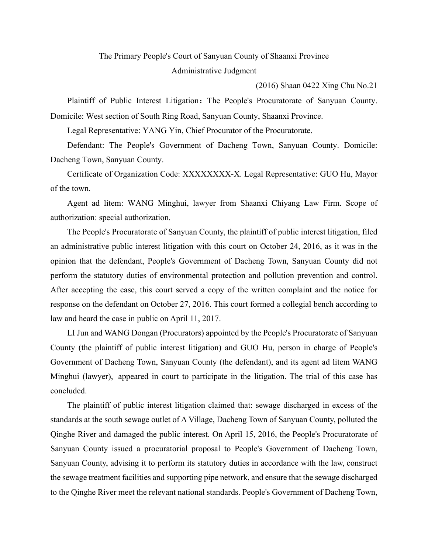## The Primary People's Court of Sanyuan County of Shaanxi Province Administrative Judgment

(2016) Shaan 0422 Xing Chu No.21

Plaintiff of Public Interest Litigation: The People's Procuratorate of Sanyuan County. Domicile: West section of South Ring Road, Sanyuan County, Shaanxi Province.

Legal Representative: YANG Yin, Chief Procurator of the Procuratorate.

Defendant: The People's Government of Dacheng Town, Sanyuan County. Domicile: Dacheng Town, Sanyuan County.

Certificate of Organization Code: XXXXXXXX-X. Legal Representative: GUO Hu, Mayor of the town.

Agent ad litem: WANG Minghui, lawyer from Shaanxi Chiyang Law Firm. Scope of authorization: special authorization.

The People's Procuratorate of Sanyuan County, the plaintiff of public interest litigation, filed an administrative public interest litigation with this court on October 24, 2016, as it was in the opinion that the defendant, People's Government of Dacheng Town, Sanyuan County did not perform the statutory duties of environmental protection and pollution prevention and control. After accepting the case, this court served a copy of the written complaint and the notice for response on the defendant on October 27, 2016. This court formed a collegial bench according to law and heard the case in public on April 11, 2017.

LI Jun and WANG Dongan (Procurators) appointed by the People's Procuratorate of Sanyuan County (the plaintiff of public interest litigation) and GUO Hu, person in charge of People's Government of Dacheng Town, Sanyuan County (the defendant), and its agent ad litem WANG Minghui (lawyer), appeared in court to participate in the litigation. The trial of this case has concluded.

The plaintiff of public interest litigation claimed that: sewage discharged in excess of the standards at the south sewage outlet of A Village, Dacheng Town of Sanyuan County, polluted the Qinghe River and damaged the public interest. On April 15, 2016, the People's Procuratorate of Sanyuan County issued a procuratorial proposal to People's Government of Dacheng Town, Sanyuan County, advising it to perform its statutory duties in accordance with the law, construct the sewage treatment facilities and supporting pipe network, and ensure that the sewage discharged to the Qinghe River meet the relevant national standards. People's Government of Dacheng Town,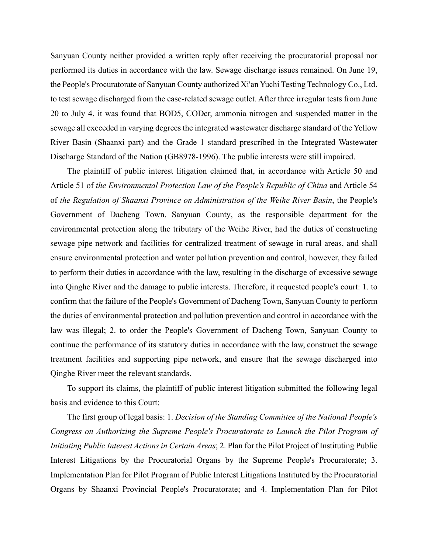Sanyuan County neither provided a written reply after receiving the procuratorial proposal nor performed its duties in accordance with the law. Sewage discharge issues remained. On June 19, the People's Procuratorate of Sanyuan County authorized Xi'an Yuchi Testing Technology Co., Ltd. to test sewage discharged from the case-related sewage outlet. After three irregular tests from June 20 to July 4, it was found that BOD5, CODcr, ammonia nitrogen and suspended matter in the sewage all exceeded in varying degrees the integrated wastewater discharge standard of the Yellow River Basin (Shaanxi part) and the Grade 1 standard prescribed in the Integrated Wastewater Discharge Standard of the Nation (GB8978-1996). The public interests were still impaired.

The plaintiff of public interest litigation claimed that, in accordance with Article 50 and Article 51 of *the Environmental Protection Law of the People's Republic of China* and Article 54 of *the Regulation of Shaanxi Province on Administration of the Weihe River Basin*, the People's Government of Dacheng Town, Sanyuan County, as the responsible department for the environmental protection along the tributary of the Weihe River, had the duties of constructing sewage pipe network and facilities for centralized treatment of sewage in rural areas, and shall ensure environmental protection and water pollution prevention and control, however, they failed to perform their duties in accordance with the law, resulting in the discharge of excessive sewage into Qinghe River and the damage to public interests. Therefore, it requested people's court: 1. to confirm that the failure of the People's Government of Dacheng Town, Sanyuan County to perform the duties of environmental protection and pollution prevention and control in accordance with the law was illegal; 2. to order the People's Government of Dacheng Town, Sanyuan County to continue the performance of its statutory duties in accordance with the law, construct the sewage treatment facilities and supporting pipe network, and ensure that the sewage discharged into Qinghe River meet the relevant standards.

To support its claims, the plaintiff of public interest litigation submitted the following legal basis and evidence to this Court:

The first group of legal basis: 1. *Decision of the Standing Committee of the National People's Congress on Authorizing the Supreme People's Procuratorate to Launch the Pilot Program of Initiating Public Interest Actions in Certain Areas*; 2. Plan for the Pilot Project of Instituting Public Interest Litigations by the Procuratorial Organs by the Supreme People's Procuratorate; 3. Implementation Plan for Pilot Program of Public Interest Litigations Instituted by the Procuratorial Organs by Shaanxi Provincial People's Procuratorate; and 4. Implementation Plan for Pilot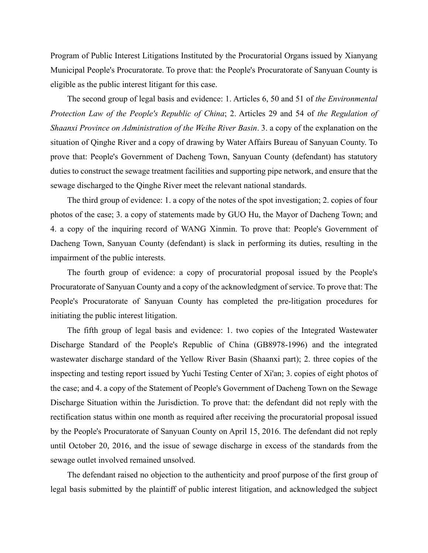Program of Public Interest Litigations Instituted by the Procuratorial Organs issued by Xianyang Municipal People's Procuratorate. To prove that: the People's Procuratorate of Sanyuan County is eligible as the public interest litigant for this case.

The second group of legal basis and evidence: 1. Articles 6, 50 and 51 of *the Environmental Protection Law of the People's Republic of China*; 2. Articles 29 and 54 of *the Regulation of Shaanxi Province on Administration of the Weihe River Basin*. 3. a copy of the explanation on the situation of Qinghe River and a copy of drawing by Water Affairs Bureau of Sanyuan County. To prove that: People's Government of Dacheng Town, Sanyuan County (defendant) has statutory duties to construct the sewage treatment facilities and supporting pipe network, and ensure that the sewage discharged to the Qinghe River meet the relevant national standards.

The third group of evidence: 1. a copy of the notes of the spot investigation; 2. copies of four photos of the case; 3. a copy of statements made by GUO Hu, the Mayor of Dacheng Town; and 4. a copy of the inquiring record of WANG Xinmin. To prove that: People's Government of Dacheng Town, Sanyuan County (defendant) is slack in performing its duties, resulting in the impairment of the public interests.

The fourth group of evidence: a copy of procuratorial proposal issued by the People's Procuratorate of Sanyuan County and a copy of the acknowledgment of service. To prove that: The People's Procuratorate of Sanyuan County has completed the pre-litigation procedures for initiating the public interest litigation.

The fifth group of legal basis and evidence: 1. two copies of the Integrated Wastewater Discharge Standard of the People's Republic of China (GB8978-1996) and the integrated wastewater discharge standard of the Yellow River Basin (Shaanxi part); 2. three copies of the inspecting and testing report issued by Yuchi Testing Center of Xi'an; 3. copies of eight photos of the case; and 4. a copy of the Statement of People's Government of Dacheng Town on the Sewage Discharge Situation within the Jurisdiction. To prove that: the defendant did not reply with the rectification status within one month as required after receiving the procuratorial proposal issued by the People's Procuratorate of Sanyuan County on April 15, 2016. The defendant did not reply until October 20, 2016, and the issue of sewage discharge in excess of the standards from the sewage outlet involved remained unsolved.

The defendant raised no objection to the authenticity and proof purpose of the first group of legal basis submitted by the plaintiff of public interest litigation, and acknowledged the subject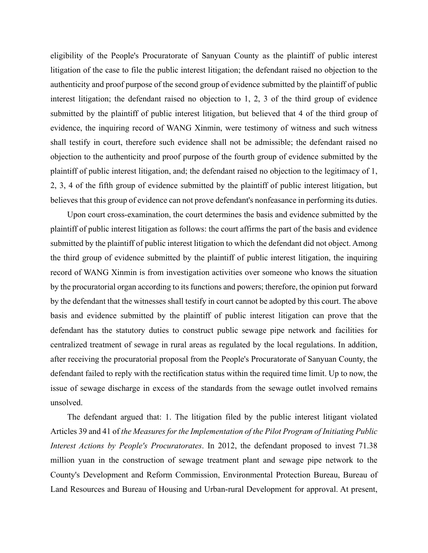eligibility of the People's Procuratorate of Sanyuan County as the plaintiff of public interest litigation of the case to file the public interest litigation; the defendant raised no objection to the authenticity and proof purpose of the second group of evidence submitted by the plaintiff of public interest litigation; the defendant raised no objection to 1, 2, 3 of the third group of evidence submitted by the plaintiff of public interest litigation, but believed that 4 of the third group of evidence, the inquiring record of WANG Xinmin, were testimony of witness and such witness shall testify in court, therefore such evidence shall not be admissible; the defendant raised no objection to the authenticity and proof purpose of the fourth group of evidence submitted by the plaintiff of public interest litigation, and; the defendant raised no objection to the legitimacy of 1, 2, 3, 4 of the fifth group of evidence submitted by the plaintiff of public interest litigation, but believes that this group of evidence can not prove defendant's nonfeasance in performing its duties.

Upon court cross-examination, the court determines the basis and evidence submitted by the plaintiff of public interest litigation as follows: the court affirms the part of the basis and evidence submitted by the plaintiff of public interest litigation to which the defendant did not object. Among the third group of evidence submitted by the plaintiff of public interest litigation, the inquiring record of WANG Xinmin is from investigation activities over someone who knows the situation by the procuratorial organ according to its functions and powers; therefore, the opinion put forward by the defendant that the witnesses shall testify in court cannot be adopted by this court. The above basis and evidence submitted by the plaintiff of public interest litigation can prove that the defendant has the statutory duties to construct public sewage pipe network and facilities for centralized treatment of sewage in rural areas as regulated by the local regulations. In addition, after receiving the procuratorial proposal from the People's Procuratorate of Sanyuan County, the defendant failed to reply with the rectification status within the required time limit. Up to now, the issue of sewage discharge in excess of the standards from the sewage outlet involved remains unsolved.

The defendant argued that: 1. The litigation filed by the public interest litigant violated Articles 39 and 41 of *the Measures for the Implementation of the Pilot Program of Initiating Public Interest Actions by People's Procuratorates*. In 2012, the defendant proposed to invest 71.38 million yuan in the construction of sewage treatment plant and sewage pipe network to the County's Development and Reform Commission, Environmental Protection Bureau, Bureau of Land Resources and Bureau of Housing and Urban-rural Development for approval. At present,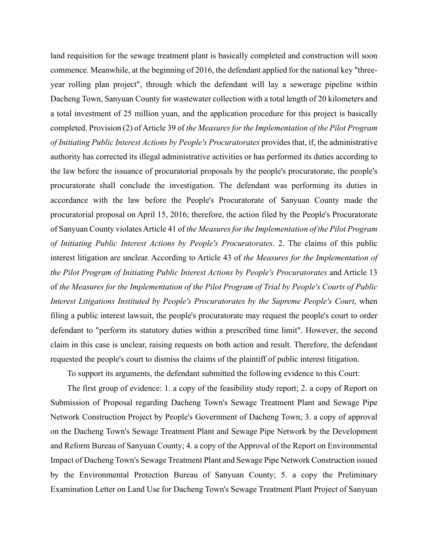land requisition for the sewage treatment plant is basically completed and construction will soon commence. Meanwhile, at the beginning of 2016, the defendant applied for the national key "threeyear rolling plan project", through which the defendant will lay a sewerage pipeline within Dacheng Town, Sanyuan County for wastewater collection with a total length of 20 kilometers and a total investment of 25 million yuan, and the application procedure for this project is basically completed. Provision (2) of Article 39 of *the Measures for the Implementation of the Pilot Program of Initiating Public Interest Actions by People's Procuratorates* provides that, if, the administrative authority has corrected its illegal administrative activities or has performed its duties according to the law before the issuance of procuratorial proposals by the people's procuratorate, the people's procuratorate shall conclude the investigation. The defendant was performing its duties in accordance with the law before the People's Procuratorate of Sanyuan County made the procuratorial proposal on April 15, 2016; therefore, the action filed by the People's Procuratorate of Sanyuan County violates Article 41 of *the Measures for the Implementation of the Pilot Program of Initiating Public Interest Actions by People's Procuratorates*. 2. The claims of this public interest litigation are unclear. According to Article 43 of *the Measures for the Implementation of the Pilot Program of Initiating Public Interest Actions by People's Procuratorates* and Article 13 of *the Measures for the Implementation of the Pilot Program of Trial by People's Courts of Public Interest Litigations Instituted by People's Procuratorates by the Supreme People's Court*, when filing a public interest lawsuit, the people's procuratorate may request the people's court to order defendant to "perform its statutory duties within a prescribed time limit". However, the second claim in this case is unclear, raising requests on both action and result. Therefore, the defendant requested the people's court to dismiss the claims of the plaintiff of public interest litigation.

To support its arguments, the defendant submitted the following evidence to this Court:

The first group of evidence: 1. a copy of the feasibility study report; 2. a copy of Report on Submission of Proposal regarding Dacheng Town's Sewage Treatment Plant and Sewage Pipe Network Construction Project by People's Government of Dacheng Town; 3. a copy of approval on the Dacheng Town's Sewage Treatment Plant and Sewage Pipe Network by the Development and Reform Bureau of Sanyuan County; 4. a copy of the Approval of the Report on Environmental Impact of Dacheng Town's Sewage Treatment Plant and Sewage Pipe Network Construction issued by the Environmental Protection Bureau of Sanyuan County; 5. a copy the Preliminary Examination Letter on Land Use for Dacheng Town's Sewage Treatment Plant Project of Sanyuan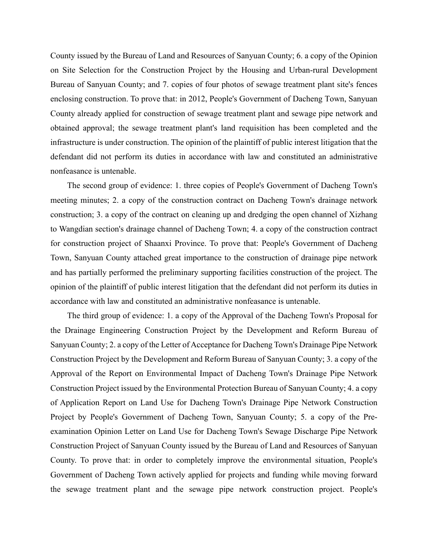County issued by the Bureau of Land and Resources of Sanyuan County; 6. a copy of the Opinion on Site Selection for the Construction Project by the Housing and Urban-rural Development Bureau of Sanyuan County; and 7. copies of four photos of sewage treatment plant site's fences enclosing construction. To prove that: in 2012, People's Government of Dacheng Town, Sanyuan County already applied for construction of sewage treatment plant and sewage pipe network and obtained approval; the sewage treatment plant's land requisition has been completed and the infrastructure is under construction. The opinion of the plaintiff of public interest litigation that the defendant did not perform its duties in accordance with law and constituted an administrative nonfeasance is untenable.

The second group of evidence: 1. three copies of People's Government of Dacheng Town's meeting minutes; 2. a copy of the construction contract on Dacheng Town's drainage network construction; 3. a copy of the contract on cleaning up and dredging the open channel of Xizhang to Wangdian section's drainage channel of Dacheng Town; 4. a copy of the construction contract for construction project of Shaanxi Province. To prove that: People's Government of Dacheng Town, Sanyuan County attached great importance to the construction of drainage pipe network and has partially performed the preliminary supporting facilities construction of the project. The opinion of the plaintiff of public interest litigation that the defendant did not perform its duties in accordance with law and constituted an administrative nonfeasance is untenable.

The third group of evidence: 1. a copy of the Approval of the Dacheng Town's Proposal for the Drainage Engineering Construction Project by the Development and Reform Bureau of Sanyuan County; 2. a copy of the Letter of Acceptance for Dacheng Town's Drainage Pipe Network Construction Project by the Development and Reform Bureau of Sanyuan County; 3. a copy of the Approval of the Report on Environmental Impact of Dacheng Town's Drainage Pipe Network Construction Project issued by the Environmental Protection Bureau of Sanyuan County; 4. a copy of Application Report on Land Use for Dacheng Town's Drainage Pipe Network Construction Project by People's Government of Dacheng Town, Sanyuan County; 5. a copy of the Preexamination Opinion Letter on Land Use for Dacheng Town's Sewage Discharge Pipe Network Construction Project of Sanyuan County issued by the Bureau of Land and Resources of Sanyuan County. To prove that: in order to completely improve the environmental situation, People's Government of Dacheng Town actively applied for projects and funding while moving forward the sewage treatment plant and the sewage pipe network construction project. People's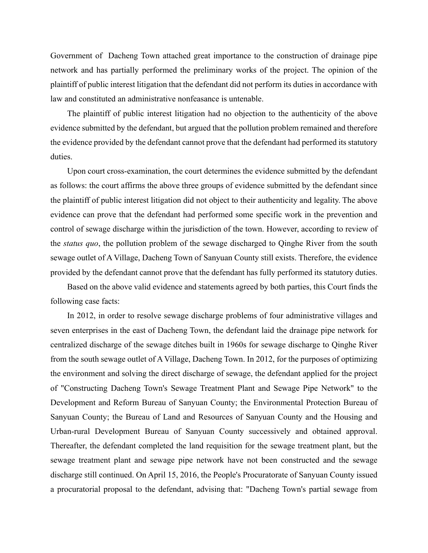Government of Dacheng Town attached great importance to the construction of drainage pipe network and has partially performed the preliminary works of the project. The opinion of the plaintiff of public interest litigation that the defendant did not perform its duties in accordance with law and constituted an administrative nonfeasance is untenable.

The plaintiff of public interest litigation had no objection to the authenticity of the above evidence submitted by the defendant, but argued that the pollution problem remained and therefore the evidence provided by the defendant cannot prove that the defendant had performed its statutory duties.

Upon court cross-examination, the court determines the evidence submitted by the defendant as follows: the court affirms the above three groups of evidence submitted by the defendant since the plaintiff of public interest litigation did not object to their authenticity and legality. The above evidence can prove that the defendant had performed some specific work in the prevention and control of sewage discharge within the jurisdiction of the town. However, according to review of the *status quo*, the pollution problem of the sewage discharged to Qinghe River from the south sewage outlet of A Village, Dacheng Town of Sanyuan County still exists. Therefore, the evidence provided by the defendant cannot prove that the defendant has fully performed its statutory duties.

Based on the above valid evidence and statements agreed by both parties, this Court finds the following case facts:

In 2012, in order to resolve sewage discharge problems of four administrative villages and seven enterprises in the east of Dacheng Town, the defendant laid the drainage pipe network for centralized discharge of the sewage ditches built in 1960s for sewage discharge to Qinghe River from the south sewage outlet of A Village, Dacheng Town. In 2012, for the purposes of optimizing the environment and solving the direct discharge of sewage, the defendant applied for the project of "Constructing Dacheng Town's Sewage Treatment Plant and Sewage Pipe Network" to the Development and Reform Bureau of Sanyuan County; the Environmental Protection Bureau of Sanyuan County; the Bureau of Land and Resources of Sanyuan County and the Housing and Urban-rural Development Bureau of Sanyuan County successively and obtained approval. Thereafter, the defendant completed the land requisition for the sewage treatment plant, but the sewage treatment plant and sewage pipe network have not been constructed and the sewage discharge still continued. On April 15, 2016, the People's Procuratorate of Sanyuan County issued a procuratorial proposal to the defendant, advising that: "Dacheng Town's partial sewage from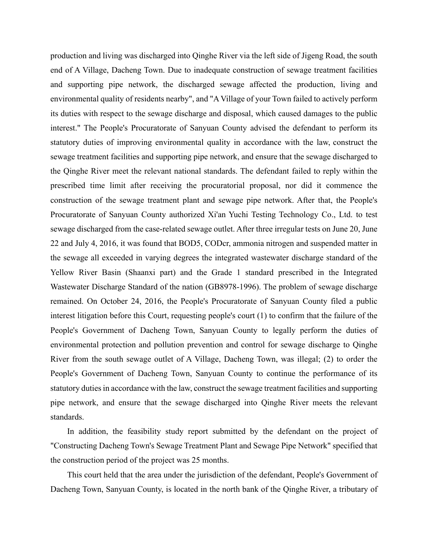production and living was discharged into Qinghe River via the left side of Jigeng Road, the south end of A Village, Dacheng Town. Due to inadequate construction of sewage treatment facilities and supporting pipe network, the discharged sewage affected the production, living and environmental quality of residents nearby", and "A Village of your Town failed to actively perform its duties with respect to the sewage discharge and disposal, which caused damages to the public interest." The People's Procuratorate of Sanyuan County advised the defendant to perform its statutory duties of improving environmental quality in accordance with the law, construct the sewage treatment facilities and supporting pipe network, and ensure that the sewage discharged to the Qinghe River meet the relevant national standards. The defendant failed to reply within the prescribed time limit after receiving the procuratorial proposal, nor did it commence the construction of the sewage treatment plant and sewage pipe network. After that, the People's Procuratorate of Sanyuan County authorized Xi'an Yuchi Testing Technology Co., Ltd. to test sewage discharged from the case-related sewage outlet. After three irregular tests on June 20, June 22 and July 4, 2016, it was found that BOD5, CODcr, ammonia nitrogen and suspended matter in the sewage all exceeded in varying degrees the integrated wastewater discharge standard of the Yellow River Basin (Shaanxi part) and the Grade 1 standard prescribed in the Integrated Wastewater Discharge Standard of the nation (GB8978-1996). The problem of sewage discharge remained. On October 24, 2016, the People's Procuratorate of Sanyuan County filed a public interest litigation before this Court, requesting people's court (1) to confirm that the failure of the People's Government of Dacheng Town, Sanyuan County to legally perform the duties of environmental protection and pollution prevention and control for sewage discharge to Qinghe River from the south sewage outlet of A Village, Dacheng Town, was illegal; (2) to order the People's Government of Dacheng Town, Sanyuan County to continue the performance of its statutory duties in accordance with the law, construct the sewage treatment facilities and supporting pipe network, and ensure that the sewage discharged into Qinghe River meets the relevant standards.

In addition, the feasibility study report submitted by the defendant on the project of "Constructing Dacheng Town's Sewage Treatment Plant and Sewage Pipe Network" specified that the construction period of the project was 25 months.

This court held that the area under the jurisdiction of the defendant, People's Government of Dacheng Town, Sanyuan County, is located in the north bank of the Qinghe River, a tributary of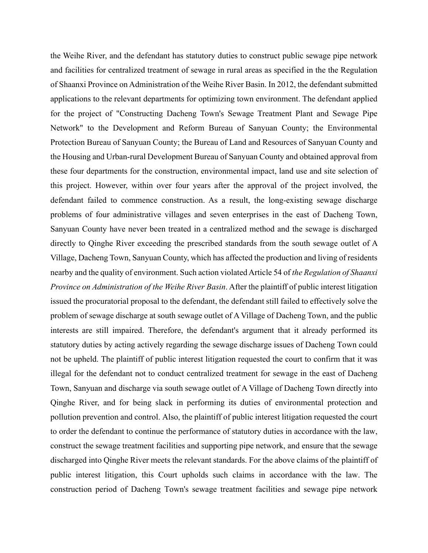the Weihe River, and the defendant has statutory duties to construct public sewage pipe network and facilities for centralized treatment of sewage in rural areas as specified in the the Regulation of Shaanxi Province on Administration of the Weihe River Basin. In 2012, the defendant submitted applications to the relevant departments for optimizing town environment. The defendant applied for the project of "Constructing Dacheng Town's Sewage Treatment Plant and Sewage Pipe Network" to the Development and Reform Bureau of Sanyuan County; the Environmental Protection Bureau of Sanyuan County; the Bureau of Land and Resources of Sanyuan County and the Housing and Urban-rural Development Bureau of Sanyuan County and obtained approval from these four departments for the construction, environmental impact, land use and site selection of this project. However, within over four years after the approval of the project involved, the defendant failed to commence construction. As a result, the long-existing sewage discharge problems of four administrative villages and seven enterprises in the east of Dacheng Town, Sanyuan County have never been treated in a centralized method and the sewage is discharged directly to Qinghe River exceeding the prescribed standards from the south sewage outlet of A Village, Dacheng Town, Sanyuan County, which has affected the production and living of residents nearby and the quality of environment. Such action violated Article 54 of *the Regulation of Shaanxi Province on Administration of the Weihe River Basin*. After the plaintiff of public interest litigation issued the procuratorial proposal to the defendant, the defendant still failed to effectively solve the problem of sewage discharge at south sewage outlet of A Village of Dacheng Town, and the public interests are still impaired. Therefore, the defendant's argument that it already performed its statutory duties by acting actively regarding the sewage discharge issues of Dacheng Town could not be upheld. The plaintiff of public interest litigation requested the court to confirm that it was illegal for the defendant not to conduct centralized treatment for sewage in the east of Dacheng Town, Sanyuan and discharge via south sewage outlet of A Village of Dacheng Town directly into Qinghe River, and for being slack in performing its duties of environmental protection and pollution prevention and control. Also, the plaintiff of public interest litigation requested the court to order the defendant to continue the performance of statutory duties in accordance with the law, construct the sewage treatment facilities and supporting pipe network, and ensure that the sewage discharged into Qinghe River meets the relevant standards. For the above claims of the plaintiff of public interest litigation, this Court upholds such claims in accordance with the law. The construction period of Dacheng Town's sewage treatment facilities and sewage pipe network